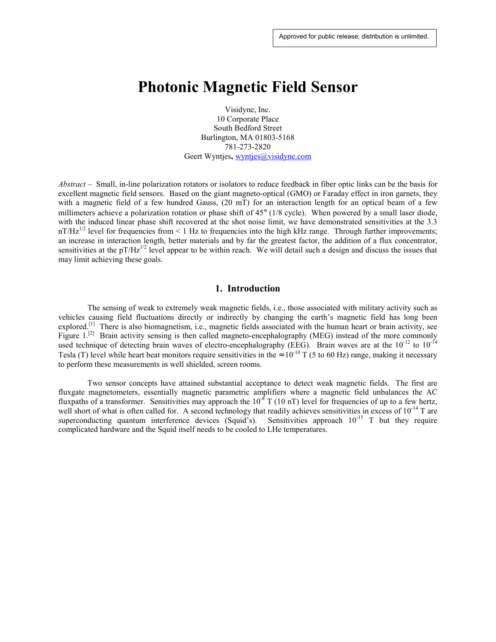# **Photonic Magnetic Field Sensor**

Visidyne, Inc. 10 Corporate Place South Bedford Street Burlington, MA 01803-5168 781-273-2820 Geert Wyntjes, wyntjes@visidyne.com

*Abstract –* Small, in-line polarization rotators or isolators to reduce feedback in fiber optic links can be the basis for excellent magnetic field sensors. Based on the giant magneto-optical (GMO) or Faraday effect in iron garnets, they with a magnetic field of a few hundred Gauss, (20 mT) for an interaction length for an optical beam of a few millimeters achieve a polarization rotation or phase shift of 45° (1/8 cycle). When powered by a small laser diode, with the induced linear phase shift recovered at the shot noise limit, we have demonstrated sensitivities at the 3.3 nT/Hz<sup>1/2</sup> level for frequencies from < 1 Hz to frequencies into the high kHz range. Through further improvements; an increase in interaction length, better materials and by far the greatest factor, the addition of a flux concentrator, sensitivities at the pT/Hz $^{1/2}$  level appear to be within reach. We will detail such a design and discuss the issues that may limit achieving these goals.

## **1. Introduction**

The sensing of weak to extremely weak magnetic fields, i.e., those associated with military activity such as vehicles causing field fluctuations directly or indirectly by changing the earth's magnetic field has long been explored.<sup>[1]</sup> There is also biomagnetism, i.e., magnetic fields associated with the human heart or brain activity, see Figure 1.<sup>[2]</sup> Brain activity sensing is then called magneto-encephalography (MEG) instead of the more commonly used technique of detecting brain waves of electro-encephalography (EEG). Brain waves are at the 10<sup>-12</sup> to 10<sup>-14</sup> Tesla (T) level while heart beat monitors require sensitivities in the  $\approx 10^{-10}$  T (5 to 60 Hz) range, making it necessary to perform these measurements in well shielded, screen rooms.

Two sensor concepts have attained substantial acceptance to detect weak magnetic fields. The first are fluxgate magnetometers, essentially magnetic parametric amplifiers where a magnetic field unbalances the AC fluxpaths of a transformer. Sensitivities may approach the  $10^{-8}$  T (10 nT) level for frequencies of up to a few hertz, well short of what is often called for. A second technology that readily achieves sensitivities in excess of 10<sup>-14</sup> T are superconducting quantum interference devices (Squid's). Sensitivities approach  $10^{-15}$  T but they require complicated hardware and the Squid itself needs to be cooled to LHe temperatures.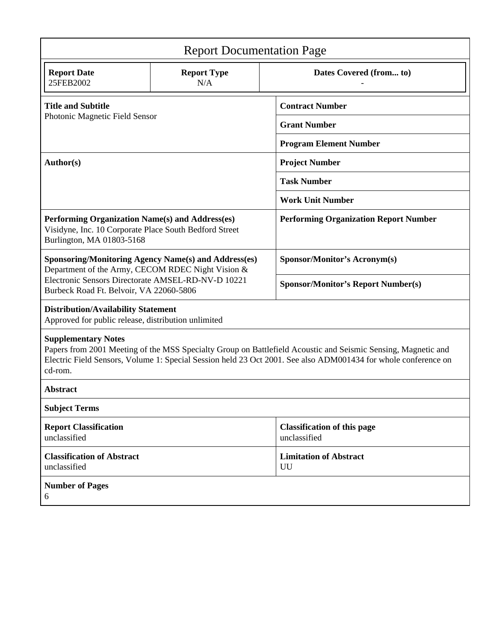| <b>Report Documentation Page</b>                                                                                                                                                                                                                                         |                           |                                                    |
|--------------------------------------------------------------------------------------------------------------------------------------------------------------------------------------------------------------------------------------------------------------------------|---------------------------|----------------------------------------------------|
| <b>Report Date</b><br>25FEB2002                                                                                                                                                                                                                                          | <b>Report Type</b><br>N/A | Dates Covered (from to)                            |
| <b>Title and Subtitle</b><br>Photonic Magnetic Field Sensor                                                                                                                                                                                                              |                           | <b>Contract Number</b>                             |
|                                                                                                                                                                                                                                                                          |                           | <b>Grant Number</b>                                |
|                                                                                                                                                                                                                                                                          |                           | <b>Program Element Number</b>                      |
| Author(s)                                                                                                                                                                                                                                                                |                           | <b>Project Number</b>                              |
|                                                                                                                                                                                                                                                                          |                           | <b>Task Number</b>                                 |
|                                                                                                                                                                                                                                                                          |                           | <b>Work Unit Number</b>                            |
| Performing Organization Name(s) and Address(es)<br>Visidyne, Inc. 10 Corporate Place South Bedford Street<br>Burlington, MA 01803-5168                                                                                                                                   |                           | <b>Performing Organization Report Number</b>       |
| <b>Sponsoring/Monitoring Agency Name(s) and Address(es)</b><br>Department of the Army, CECOM RDEC Night Vision &<br>Electronic Sensors Directorate AMSEL-RD-NV-D 10221<br>Burbeck Road Ft. Belvoir, VA 22060-5806                                                        |                           | <b>Sponsor/Monitor's Acronym(s)</b>                |
|                                                                                                                                                                                                                                                                          |                           | <b>Sponsor/Monitor's Report Number(s)</b>          |
| <b>Distribution/Availability Statement</b><br>Approved for public release, distribution unlimited                                                                                                                                                                        |                           |                                                    |
| <b>Supplementary Notes</b><br>Papers from 2001 Meeting of the MSS Specialty Group on Battlefield Acoustic and Seismic Sensing, Magnetic and<br>Electric Field Sensors, Volume 1: Special Session held 23 Oct 2001. See also ADM001434 for whole conference on<br>cd-rom. |                           |                                                    |
| <b>Abstract</b>                                                                                                                                                                                                                                                          |                           |                                                    |
| <b>Subject Terms</b>                                                                                                                                                                                                                                                     |                           |                                                    |
| <b>Report Classification</b><br>unclassified                                                                                                                                                                                                                             |                           | <b>Classification of this page</b><br>unclassified |
| <b>Classification of Abstract</b><br>unclassified                                                                                                                                                                                                                        |                           | <b>Limitation of Abstract</b><br>UU                |
| <b>Number of Pages</b><br>6                                                                                                                                                                                                                                              |                           |                                                    |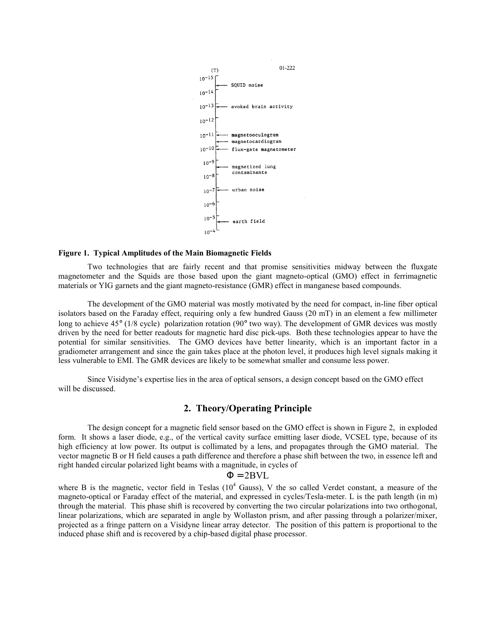

#### **Figure 1. Typical Amplitudes of the Main Biomagnetic Fields**

Two technologies that are fairly recent and that promise sensitivities midway between the fluxgate magnetometer and the Squids are those based upon the giant magneto-optical (GMO) effect in ferrimagnetic materials or YIG garnets and the giant magneto-resistance (GMR) effect in manganese based compounds.

The development of the GMO material was mostly motivated by the need for compact, in-line fiber optical isolators based on the Faraday effect, requiring only a few hundred Gauss (20 mT) in an element a few millimeter long to achieve 45° (1/8 cycle) polarization rotation (90° two way). The development of GMR devices was mostly driven by the need for better readouts for magnetic hard disc pick-ups. Both these technologies appear to have the potential for similar sensitivities. The GMO devices have better linearity, which is an important factor in a gradiometer arrangement and since the gain takes place at the photon level, it produces high level signals making it less vulnerable to EMI. The GMR devices are likely to be somewhat smaller and consume less power.

 Since Visidyne's expertise lies in the area of optical sensors, a design concept based on the GMO effect will be discussed.

# **2. Theory/Operating Principle**

The design concept for a magnetic field sensor based on the GMO effect is shown in Figure 2, in exploded form. It shows a laser diode, e.g., of the vertical cavity surface emitting laser diode, VCSEL type, because of its high efficiency at low power. Its output is collimated by a lens, and propagates through the GMO material. The vector magnetic B or H field causes a path difference and therefore a phase shift between the two, in essence left and right handed circular polarized light beams with a magnitude, in cycles of

#### $\Phi = 2BVI$ .

where B is the magnetic, vector field in Teslas  $(10^4 \text{ Gauss})$ , V the so called Verdet constant, a measure of the magneto-optical or Faraday effect of the material, and expressed in cycles/Tesla-meter. L is the path length (in m) through the material. This phase shift is recovered by converting the two circular polarizations into two orthogonal, linear polarizations, which are separated in angle by Wollaston prism, and after passing through a polarizer/mixer, projected as a fringe pattern on a Visidyne linear array detector. The position of this pattern is proportional to the induced phase shift and is recovered by a chip-based digital phase processor.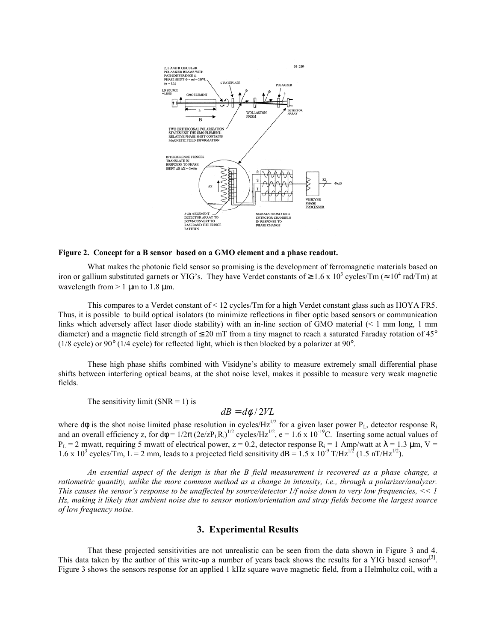

#### **Figure 2. Concept for a B sensor based on a GMO element and a phase readout.**

What makes the photonic field sensor so promising is the development of ferromagnetic materials based on iron or gallium substituted garnets or YIG's. They have Verdet constants of  $\geq 1.6 \times 10^3$  cycles/Tm ( $\approx 10^4$  rad/Tm) at wavelength from  $> 1 \text{ µm}$  to 1.8  $\text{µm}$ .

This compares to a Verdet constant of < 12 cycles/Tm for a high Verdet constant glass such as HOYA FR5. Thus, it is possible to build optical isolators (to minimize reflections in fiber optic based sensors or communication links which adversely affect laser diode stability) with an in-line section of GMO material (< 1 mm long, 1 mm diameter) and a magnetic field strength of  $\leq 20$  mT from a tiny magnet to reach a saturated Faraday rotation of 45° (1/8 cycle) or 90° (1/4 cycle) for reflected light, which is then blocked by a polarizer at 90°.

 These high phase shifts combined with Visidyne's ability to measure extremely small differential phase shifts between interfering optical beams, at the shot noise level, makes it possible to measure very weak magnetic fields.

The sensitivity limit  $(SNR = 1)$  is

$$
dB = d\phi / 2VL
$$

where dφ is the shot noise limited phase resolution in cycles/Hz<sup>1/2</sup> for a given laser power P<sub>L</sub>, detector response R<sub>i</sub> and an overall efficiency z, for  $d\phi = 1/2\pi (2e/zP_LR_i)^{1/2}$  cycles/Hz<sup>1/2</sup>, e = 1.6 x 10<sup>-19</sup>C. Inserting some actual values of  $P_L = 2$  mwatt, requiring 5 mwatt of electrical power,  $z = 0.2$ , detector response  $R_i = 1$  Amp/watt at  $\lambda = 1.3$  µm, V = 1.6 x 10<sup>3</sup> cycles/Tm, L = 2 mm, leads to a projected field sensitivity  $dB = 1.5 \times 10^{-9}$  T/Hz<sup>1/2</sup> (1.5 nT/Hz<sup>1/2</sup>).

*An essential aspect of the design is that the B field measurement is recovered as a phase change, a ratiometric quantity, unlike the more common method as a change in intensity, i.e., through a polarizer/analyzer. This causes the sensor's response to be unaffected by source/detector 1/f noise down to very low frequencies, << 1 Hz, making it likely that ambient noise due to sensor motion/orientation and stray fields become the largest source of low frequency noise.* 

## **3. Experimental Results**

That these projected sensitivities are not unrealistic can be seen from the data shown in Figure 3 and 4. This data taken by the author of this write-up a number of years back shows the results for a YIG based sensor<sup>[3]</sup>. Figure 3 shows the sensors response for an applied 1 kHz square wave magnetic field, from a Helmholtz coil, with a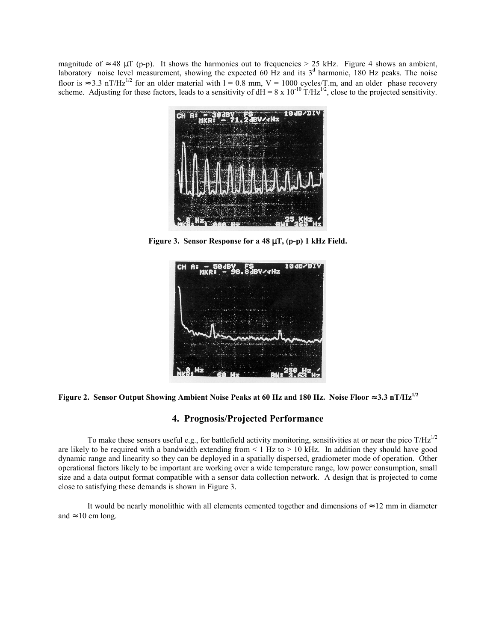magnitude of  $\approx$  48 µT (p-p). It shows the harmonics out to frequencies > 25 kHz. Figure 4 shows an ambient, laboratory noise level measurement, showing the expected 60 Hz and its  $3<sup>d</sup>$  harmonic, 180 Hz peaks. The noise floor is  $\approx 3.3$  nT/Hz<sup>1/2</sup> for an older material with 1 = 0.8 mm, V = 1000 cycles/T.m, and an older phase recovery scheme. Adjusting for these factors, leads to a sensitivity of  $dH = 8 \times 10^{-10}$  T/Hz<sup>1/2</sup>, close to the projected sensitivity.



**Figure 3. Sensor Response for a 48** µ**T, (p-p) 1 kHz Field.** 





# **4. Prognosis/Projected Performance**

To make these sensors useful e.g., for battlefield activity monitoring, sensitivities at or near the pico  $T/Hz^{1/2}$ are likely to be required with a bandwidth extending from  $\leq 1$  Hz to  $> 10$  kHz. In addition they should have good dynamic range and linearity so they can be deployed in a spatially dispersed, gradiometer mode of operation. Other operational factors likely to be important are working over a wide temperature range, low power consumption, small size and a data output format compatible with a sensor data collection network. A design that is projected to come close to satisfying these demands is shown in Figure 3.

It would be nearly monolithic with all elements cemented together and dimensions of  $\approx 12$  mm in diameter and  $\approx 10$  cm long.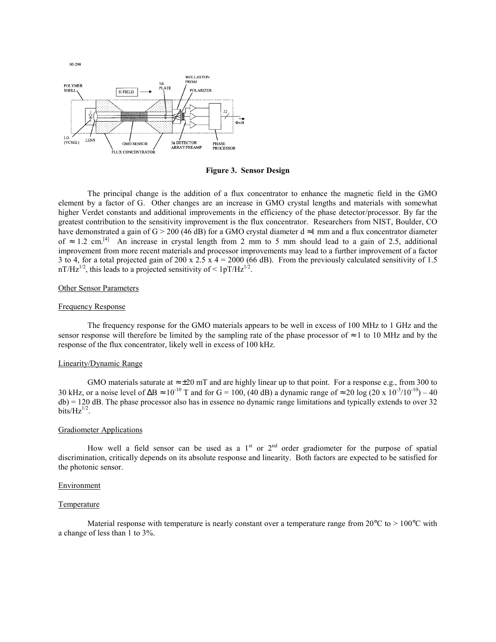

**Figure 3. Sensor Design**

 The principal change is the addition of a flux concentrator to enhance the magnetic field in the GMO element by a factor of G. Other changes are an increase in GMO crystal lengths and materials with somewhat higher Verdet constants and additional improvements in the efficiency of the phase detector/processor. By far the greatest contribution to the sensitivity improvement is the flux concentrator. Researchers from NIST, Boulder, CO have demonstrated a gain of G > 200 (46 dB) for a GMO crystal diameter  $d \approx 1$  mm and a flux concentrator diameter of  $\approx$  1.2 cm.<sup>[4]</sup> An increase in crystal length from 2 mm to 5 mm should lead to a gain of 2.5, additional improvement from more recent materials and processor improvements may lead to a further improvement of a factor 3 to 4, for a total projected gain of 200 x 2.5  $\bar{x}$  4 = 2000 (66 dB). From the previously calculated sensitivity of 1.5  $nT/Hz^{1/2}$ , this leads to a projected sensitivity of  $\leq 1pT/Hz^{1/2}$ .

#### Other Sensor Parameters

#### Frequency Response

 The frequency response for the GMO materials appears to be well in excess of 100 MHz to 1 GHz and the sensor response will therefore be limited by the sampling rate of the phase processor of  $\approx 1$  to 10 MHz and by the response of the flux concentrator, likely well in excess of 100 kHz.

### Linearity/Dynamic Range

GMO materials saturate at  $\approx \pm 20$  mT and are highly linear up to that point. For a response e.g., from 300 to 30 kHz, or a noise level of  $\Delta B \approx 10^{-10}$  T and for G = 100, (40 dB) a dynamic range of ≈ 20 log (20 x 10<sup>-3</sup>/10<sup>-10</sup>) – 40  $db$  = 120 dB. The phase processor also has in essence no dynamic range limitations and typically extends to over 32 bits/ $Hz^{1/2}$ .

#### Gradiometer Applications

How well a field sensor can be used as a  $1<sup>st</sup>$  or  $2<sup>nd</sup>$  order gradiometer for the purpose of spatial discrimination, critically depends on its absolute response and linearity. Both factors are expected to be satisfied for the photonic sensor.

#### Environment

#### **Temperature**

Material response with temperature is nearly constant over a temperature range from  $20^{\circ}$ C to  $> 100^{\circ}$ C with a change of less than 1 to 3%.

 $00 - 290$